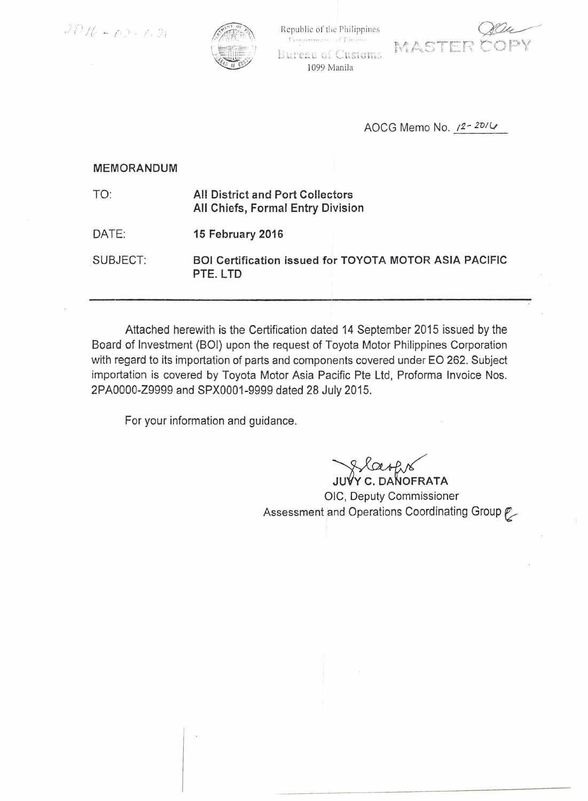



Republic of the Philippines Department of Financ





AOCG Memo No. /2-20/4

## **MEMORANDUM**

| 1 O.     | All District and Port Collectors<br>All Chiefs, Formal Entry Division     |
|----------|---------------------------------------------------------------------------|
| DATE:    | 15 February 2016                                                          |
| SUBJECT: | <b>BOI Certification issued for TOYOTA MOTOR ASIA PACIFIC</b><br>PTE. LTD |

Attached herewith is the Certification dated 14 September 2015 issued by the Board of Investment (BOI) upon the request of Toyota Motor Philippines Corporation with regard to its importation of parts and components covered under EO 262. Subject importation is covered by Toyota Motor Asia Pacific Pte Ltd, Proforma Invoice Nos. 2PA0000-Z9999 and SPX0001-9999 dated 28 July 2015.

For your information and guidance.

**Y C. DANOFRATA** 

OIC, Deputy Commissioner Assessment and Operations Coordinating Group p